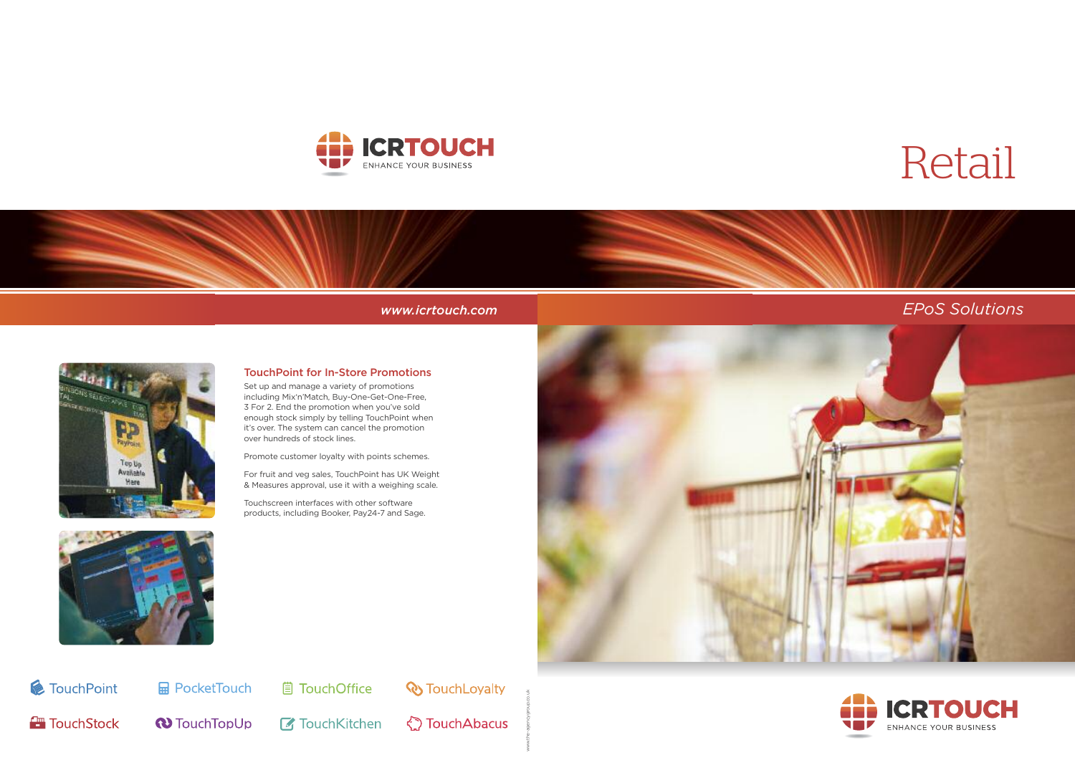## *www.icrtouch.com EPoS Solutions*



www.the-agencygroup.co.uk

# Retail





### **TouchPoint for In-Store Promotions**

Set up and manage a variety of promotions including Mix'n'Match, Buy-One-Get-One-Free, 3 For 2. End the promotion when you've sold enough stock simply by telling TouchPoint when it's over. The system can cancel the promotion over hundreds of stock lines.

Promote customer loyalty with points schemes.

For fruit and veg sales, TouchPoint has UK Weight & Measures approval, use it with a weighing scale.

Touchscreen interfaces with other software products, including Booker, Pay24-7 and Sage.





*M* TouchPoint

**FouchStock** 

**B** PocketTouch

**■ TouchOffice** 

**& TouchLoyalty** 

**N** TouchTopUp **7** TouchKitchen **☆ TouchAbacus**